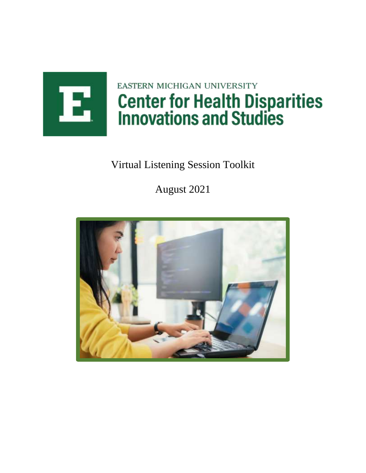

# EASTERN MICHIGAN UNIVERSITY **Center for Health Disparities<br>Innovations and Studies**

# Virtual Listening Session Toolkit

August 2021

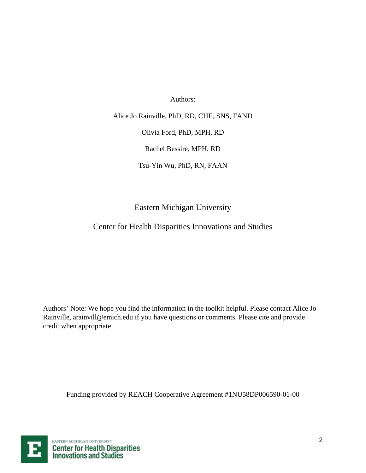Authors:

Alice Jo Rainville, PhD, RD, CHE, SNS, FAND

Olivia Ford, PhD, MPH, RD

Rachel Bessire, MPH, RD

Tsu-Yin Wu, PhD, RN, FAAN

Eastern Michigan University

Center for Health Disparities Innovations and Studies

Authors' Note: We hope you find the information in the toolkit helpful. Please contact Alice Jo Rainville, arainvill@emich.edu if you have questions or comments. Please cite and provide credit when appropriate.

Funding provided by REACH Cooperative Agreement #1NU58DP006590-01-00

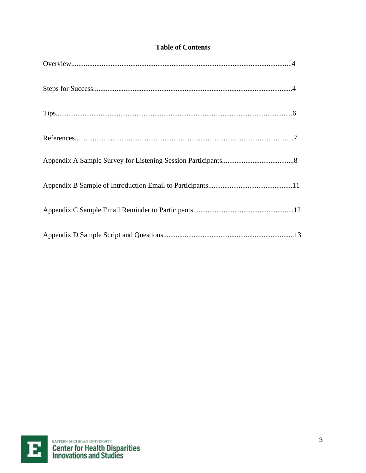| Tips |
|------|
|      |
|      |
|      |
|      |
|      |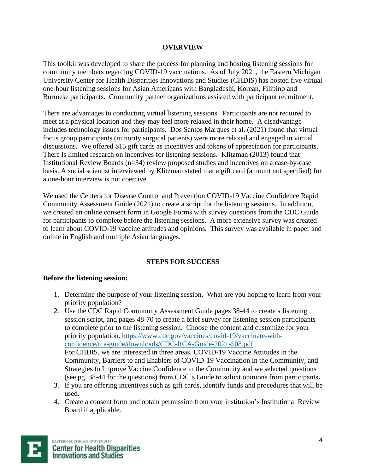#### **OVERVIEW**

This toolkit was developed to share the process for planning and hosting listening sessions for community members regarding COVID-19 vaccinations. As of July 2021, the Eastern Michigan University Center for Health Disparities Innovations and Studies (CHDIS) has hosted five virtual one-hour listening sessions for Asian Americans with Bangladeshi, Korean, Filipino and Burmese participants. Community partner organizations assisted with participant recruitment.

There are advantages to conducting virtual listening sessions. Participants are not required to meet at a physical location and they may feel more relaxed in their home. A disadvantage includes technology issues for participants. Dos Santos Marques et al. (2021) found that virtual focus group participants (minority surgical patients) were more relaxed and engaged in virtual discussions. We offered \$15 gift cards as incentives and tokens of appreciation for participants. There is limited research on incentives for listening sessions. Klitzman (2013) found that Institutional Review Boards (n=34) review proposed studies and incentives on a case-by-case basis. A social scientist interviewed by Klitzman stated that a gift card (amount not specified) for a one-hour interview is not coercive.

We used the Centers for Disease Control and Prevention COVID-19 Vaccine Confidence Rapid Community Assessment Guide (2021) to create a script for the listening sessions. In addition, we created an online consent form in Google Forms with survey questions from the CDC Guide for participants to complete before the listening sessions. A more extensive survey was created to learn about COVID-19 vaccine attitudes and opinions. This survey was available in paper and online in English and multiple Asian languages.

#### **STEPS FOR SUCCESS**

#### **Before the listening session:**

- 1. Determine the purpose of your listening session. What are you hoping to learn from your priority population?
- 2. Use the CDC Rapid Community Assessment Guide pages 38-44 to create a listening session script, and pages 48-70 to create a brief survey for listening session participants to complete prior to the listening session. Choose the content and customize for your priority population. [https://www.cdc.gov/vaccines/covid-19/vaccinate-with](https://www.cdc.gov/vaccines/covid-19/vaccinate-with-confidence/rca-guide/downloads/CDC-RCA-Guide-2021-508.pdf)[confidence/rca-guide/downloads/CDC-RCA-Guide-2021-508.pdf](https://www.cdc.gov/vaccines/covid-19/vaccinate-with-confidence/rca-guide/downloads/CDC-RCA-Guide-2021-508.pdf)  For CHDIS, we are interested in three areas, COVID-19 Vaccine Attitudes in the Community, Barriers to and Enablers of COVID-19 Vaccination in the Community, and Strategies to Improve Vaccine Confidence in the Community and we selected questions (see pg. 38-44 for the questions) from CDC's Guide to solicit opinions from participants**.**
- 3. If you are offering incentives such as gift cards, identify funds and procedures that will be used.
- 4. Create a consent form and obtain permission from your institution's Institutional Review Board if applicable.

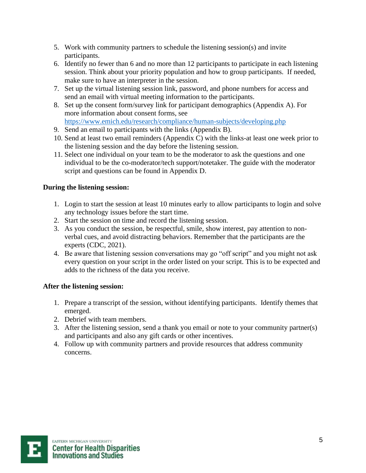- 5. Work with community partners to schedule the listening session(s) and invite participants.
- 6. Identify no fewer than 6 and no more than 12 participants to participate in each listening session. Think about your priority population and how to group participants. If needed, make sure to have an interpreter in the session.
- 7. Set up the virtual listening session link, password, and phone numbers for access and send an email with virtual meeting information to the participants.
- 8. Set up the consent form/survey link for participant demographics (Appendix A). For more information about consent forms, see <https://www.emich.edu/research/compliance/human-subjects/developing.php>
- 9. Send an email to participants with the links (Appendix B).
- 10. Send at least two email reminders (Appendix C) with the links-at least one week prior to the listening session and the day before the listening session.
- 11. Select one individual on your team to be the moderator to ask the questions and one individual to be the co-moderator/tech support/notetaker. The guide with the moderator script and questions can be found in Appendix D.

# **During the listening session:**

- 1. Login to start the session at least 10 minutes early to allow participants to login and solve any technology issues before the start time.
- 2. Start the session on time and record the listening session.
- 3. As you conduct the session, be respectful, smile, show interest, pay attention to nonverbal cues, and avoid distracting behaviors. Remember that the participants are the experts (CDC, 2021).
- 4. Be aware that listening session conversations may go "off script" and you might not ask every question on your script in the order listed on your script. This is to be expected and adds to the richness of the data you receive.

# **After the listening session:**

- 1. Prepare a transcript of the session, without identifying participants. Identify themes that emerged.
- 2. Debrief with team members.
- 3. After the listening session, send a thank you email or note to your community partner(s) and participants and also any gift cards or other incentives.
- 4. Follow up with community partners and provide resources that address community concerns.

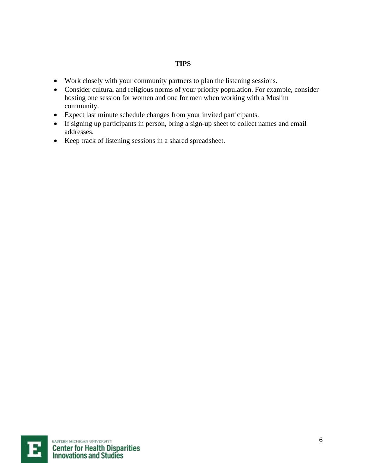#### **TIPS**

- Work closely with your community partners to plan the listening sessions.
- Consider cultural and religious norms of your priority population. For example, consider hosting one session for women and one for men when working with a Muslim community.
- Expect last minute schedule changes from your invited participants.
- If signing up participants in person, bring a sign-up sheet to collect names and email addresses.
- Keep track of listening sessions in a shared spreadsheet.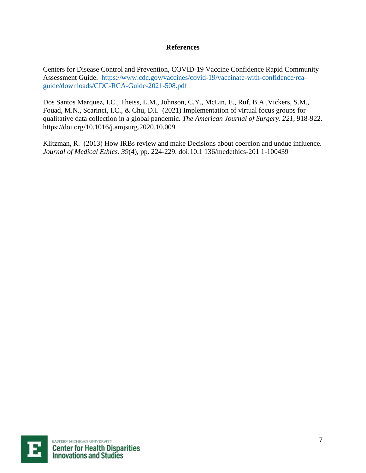#### **References**

Centers for Disease Control and Prevention, COVID-19 Vaccine Confidence Rapid Community Assessment Guide. [https://www.cdc.gov/vaccines/covid-19/vaccinate-with-confidence/rca](https://www.cdc.gov/vaccines/covid-19/vaccinate-with-confidence/rca-guide/downloads/CDC-RCA-Guide-2021-508.pdf)[guide/downloads/CDC-RCA-Guide-2021-508.pdf](https://www.cdc.gov/vaccines/covid-19/vaccinate-with-confidence/rca-guide/downloads/CDC-RCA-Guide-2021-508.pdf)

Dos Santos Marquez, I.C., Theiss, L.M., Johnson, C.Y., McLin, E., Ruf, B.A.,Vickers, S.M., Fouad, M.N., Scarinci, I.C., & Chu, D.I. (2021) Implementation of virtual focus groups for qualitative data collection in a global pandemic. *The American Journal of Surgery*. *221*, 918-922. https://doi.org/10.1016/j.amjsurg.2020.10.009

Klitzman, R. (2013) How IRBs review and make Decisions about coercion and undue influence. *Journal of Medical Ethics*. *39*(4), pp. 224-229. doi:10.1 136/medethics-201 1-100439

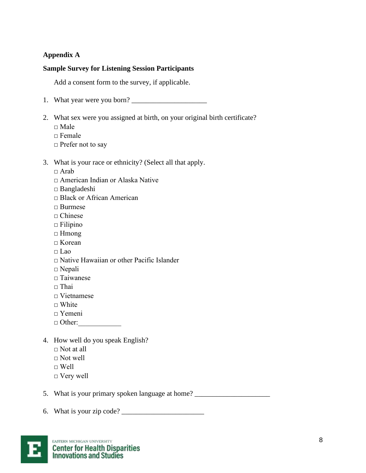#### **Appendix A**

#### **Sample Survey for Listening Session Participants**

Add a consent form to the survey, if applicable.

- 1. What year were you born? \_\_\_\_\_\_\_\_\_\_\_\_\_\_\_\_\_\_\_\_\_
- 2. What sex were you assigned at birth, on your original birth certificate?
	- □ Male
	- $\Box$  Female
	- □ Prefer not to say

#### 3. What is your race or ethnicity? (Select all that apply.

- $\Box$  Arab
- □ American Indian or Alaska Native
- □ Bangladeshi
- □ Black or African American
- □ Burmese
- □ Chinese
- $\Box$  Filipino
- □ Hmong
- $\Box$  Korean
- $\Box$  Lao
- □ Native Hawaiian or other Pacific Islander
- □ Nepali
- □ Taiwanese
- $\Box$  Thai
- $\Box$  Vietnamese
- $\Box$  White
- □ Yemeni
- □ Other:
- 4. How well do you speak English?
	- $\Box$  Not at all
	- $\sqcap$  Not well
	- $\sqcap$  Well
	- □ Very well

5. What is your primary spoken language at home? \_\_\_\_\_\_\_\_\_\_\_\_\_\_\_\_\_\_\_\_\_\_\_\_\_\_\_\_\_\_\_\_

6. What is your zip code?  $\Box$ 

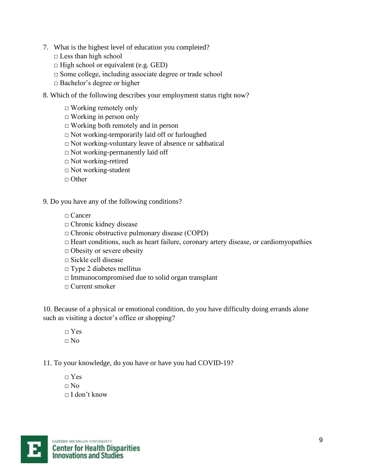- 7. What is the highest level of education you completed?
	- $\square$  Less than high school
	- $\Box$  High school or equivalent (e.g. GED)
	- $\Box$  Some college, including associate degree or trade school
	- □ Bachelor's degree or higher
- 8. Which of the following describes your employment status right now?
	- $\Box$  Working remotely only
	- $\Box$  Working in person only
	- $\Box$  Working both remotely and in person
	- □ Not working-temporarily laid off or furloughed
	- $\Box$  Not working-voluntary leave of absence or sabbatical
	- $\Box$  Not working-permanently laid off
	- □ Not working-retired
	- $\Box$  Not working-student
	- $\Box$  Other
- 9. Do you have any of the following conditions?
	- □ Cancer
	- □ Chronic kidney disease
	- □ Chronic obstructive pulmonary disease (COPD)
	- $\Box$  Heart conditions, such as heart failure, coronary artery disease, or cardiomyopathies
	- □ Obesity or severe obesity
	- □ Sickle cell disease
	- $\square$  Type 2 diabetes mellitus
	- $\Box$  Immunocompromised due to solid organ transplant
	- □ Current smoker

10. Because of a physical or emotional condition, do you have difficulty doing errands alone such as visiting a doctor's office or shopping?

 $\neg$  Yes  $\Box$  No

11. To your knowledge, do you have or have you had COVID-19?

 $\neg$  Yes  $\Box$  No  $\Box$  I don't know

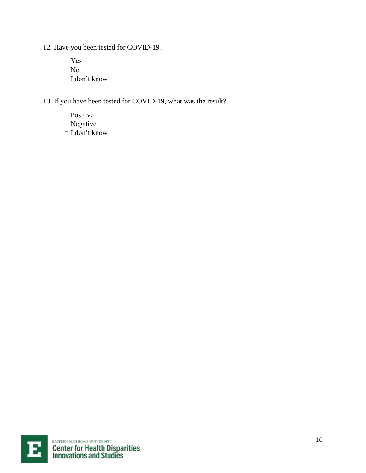12. Have you been tested for COVID-19?

□ Yes  $\Box$  No □ I don't know

13. If you have been tested for COVID-19, what was the result?

□ Positive □ Negative □ I don't know

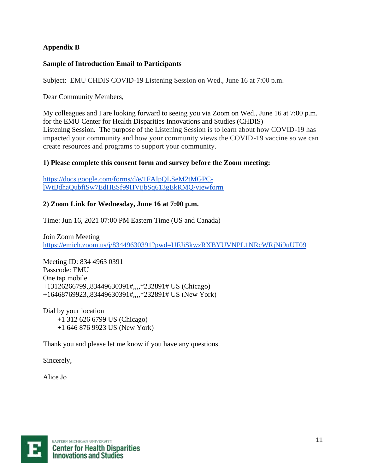# **Appendix B**

#### **Sample of Introduction Email to Participants**

Subject: EMU CHDIS COVID-19 Listening Session on Wed., June 16 at 7:00 p.m.

Dear Community Members,

My colleagues and I are looking forward to seeing you via Zoom on Wed., June 16 at 7:00 p.m. for the EMU Center for Health Disparities Innovations and Studies (CHDIS) Listening Session. The purpose of the Listening Session is to learn about how COVID-19 has impacted your community and how your community views the COVID-19 vaccine so we can create resources and programs to support your community.

# **1) Please complete this consent form and survey before the Zoom meeting:**

[https://docs.google.com/forms/d/e/1FAIpQLSeM2tMGPC](https://docs.google.com/forms/d/e/1FAIpQLSeM2tMGPC-lWtBdhaQubfiSw7EdHESf99HVijbSq613gEkRMQ/viewform)[lWtBdhaQubfiSw7EdHESf99HVijbSq613gEkRMQ/viewform](https://docs.google.com/forms/d/e/1FAIpQLSeM2tMGPC-lWtBdhaQubfiSw7EdHESf99HVijbSq613gEkRMQ/viewform)

#### **2) Zoom Link for Wednesday, June 16 at 7:00 p.m.**

Time: Jun 16, 2021 07:00 PM Eastern Time (US and Canada)

Join Zoom Meeting <https://emich.zoom.us/j/83449630391?pwd=UFJiSkwzRXBYUVNPL1NRcWRjNi9uUT09>

Meeting ID: 834 4963 0391 Passcode: EMU One tap mobile +13126266799,,83449630391#,,,,\*232891# US (Chicago) +16468769923,,83449630391#,,,,\*232891# US (New York)

Dial by your location +1 312 626 6799 US (Chicago) +1 646 876 9923 US (New York)

Thank you and please let me know if you have any questions.

Sincerely,

Alice Jo

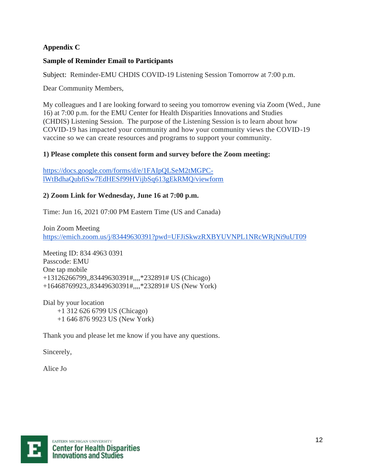# **Appendix C**

# **Sample of Reminder Email to Participants**

Subject:Reminder-EMU CHDIS COVID-19 Listening Session Tomorrow at 7:00 p.m.

Dear Community Members,

My colleagues and I are looking forward to seeing you tomorrow evening via Zoom (Wed., June 16) at 7:00 p.m. for the EMU Center for Health Disparities Innovations and Studies (CHDIS) Listening Session. The purpose of the Listening Session is to learn about how COVID-19 has impacted your community and how your community views the COVID-19 vaccine so we can create resources and programs to support your community.

# **1) Please complete this consent form and survey before the Zoom meeting:**

[https://docs.google.com/forms/d/e/1FAIpQLSeM2tMGPC](https://docs.google.com/forms/d/e/1FAIpQLSeM2tMGPC-lWtBdhaQubfiSw7EdHESf99HVijbSq613gEkRMQ/viewform)[lWtBdhaQubfiSw7EdHESf99HVijbSq613gEkRMQ/viewform](https://docs.google.com/forms/d/e/1FAIpQLSeM2tMGPC-lWtBdhaQubfiSw7EdHESf99HVijbSq613gEkRMQ/viewform)

# **2) Zoom Link for Wednesday, June 16 at 7:00 p.m.**

Time: Jun 16, 2021 07:00 PM Eastern Time (US and Canada)

Join Zoom Meeting <https://emich.zoom.us/j/83449630391?pwd=UFJiSkwzRXBYUVNPL1NRcWRjNi9uUT09>

Meeting ID: 834 4963 0391 Passcode: EMU One tap mobile +13126266799,,83449630391#,,,,\*232891# US (Chicago) +16468769923,,83449630391#,,,,\*232891# US (New York)

Dial by your location +1 312 626 6799 US (Chicago) +1 646 876 9923 US (New York)

Thank you and please let me know if you have any questions.

Sincerely,

Alice Jo

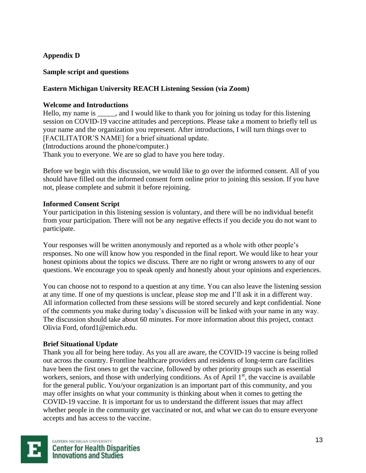# **Appendix D**

#### **Sample script and questions**

#### **Eastern Michigan University REACH Listening Session (via Zoom)**

#### **Welcome and Introductions**

Hello, my name is \_\_\_\_\_, and I would like to thank you for joining us today for this listening session on COVID-19 vaccine attitudes and perceptions. Please take a moment to briefly tell us your name and the organization you represent. After introductions, I will turn things over to [FACILITATOR'S NAME] for a brief situational update. (Introductions around the phone/computer.) Thank you to everyone. We are so glad to have you here today.

Before we begin with this discussion, we would like to go over the informed consent. All of you should have filled out the informed consent form online prior to joining this session. If you have not, please complete and submit it before rejoining.

#### **Informed Consent Script**

Your participation in this listening session is voluntary, and there will be no individual benefit from your participation. There will not be any negative effects if you decide you do not want to participate.

Your responses will be written anonymously and reported as a whole with other people's responses. No one will know how you responded in the final report. We would like to hear your honest opinions about the topics we discuss. There are no right or wrong answers to any of our questions. We encourage you to speak openly and honestly about your opinions and experiences.

You can choose not to respond to a question at any time. You can also leave the listening session at any time. If one of my questions is unclear, please stop me and I'll ask it in a different way. All information collected from these sessions will be stored securely and kept confidential. None of the comments you make during today's discussion will be linked with your name in any way. The discussion should take about 60 minutes. For more information about this project, contact Olivia Ford, oford1@emich.edu.

#### **Brief Situational Update**

Thank you all for being here today. As you all are aware, the COVID-19 vaccine is being rolled out across the country. Frontline healthcare providers and residents of long-term care facilities have been the first ones to get the vaccine, followed by other priority groups such as essential workers, seniors, and those with underlying conditions. As of April  $1<sup>st</sup>$ , the vaccine is available for the general public. You/your organization is an important part of this community, and you may offer insights on what your community is thinking about when it comes to getting the COVID-19 vaccine. It is important for us to understand the different issues that may affect whether people in the community get vaccinated or not, and what we can do to ensure everyone accepts and has access to the vaccine.

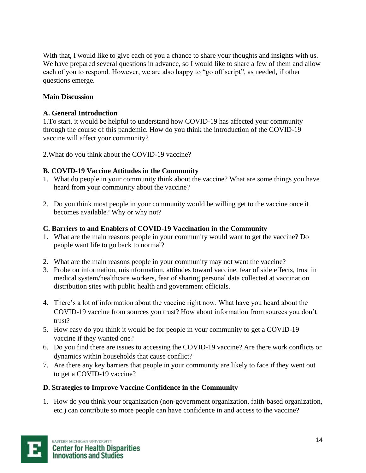With that, I would like to give each of you a chance to share your thoughts and insights with us. We have prepared several questions in advance, so I would like to share a few of them and allow each of you to respond. However, we are also happy to "go off script", as needed, if other questions emerge.

# **Main Discussion**

# **A. General Introduction**

1.To start, it would be helpful to understand how COVID-19 has affected your community through the course of this pandemic. How do you think the introduction of the COVID-19 vaccine will affect your community?

2.What do you think about the COVID-19 vaccine?

# **B. COVID-19 Vaccine Attitudes in the Community**

- 1. What do people in your community think about the vaccine? What are some things you have heard from your community about the vaccine?
- 2. Do you think most people in your community would be willing get to the vaccine once it becomes available? Why or why not?

# **C. Barriers to and Enablers of COVID-19 Vaccination in the Community**

- 1. What are the main reasons people in your community would want to get the vaccine? Do people want life to go back to normal?
- 2. What are the main reasons people in your community may not want the vaccine?
- 3. Probe on information, misinformation, attitudes toward vaccine, fear of side effects, trust in medical system/healthcare workers, fear of sharing personal data collected at vaccination distribution sites with public health and government officials.
- 4. There's a lot of information about the vaccine right now. What have you heard about the COVID-19 vaccine from sources you trust? How about information from sources you don't trust?
- 5. How easy do you think it would be for people in your community to get a COVID-19 vaccine if they wanted one?
- 6. Do you find there are issues to accessing the COVID-19 vaccine? Are there work conflicts or dynamics within households that cause conflict?
- 7. Are there any key barriers that people in your community are likely to face if they went out to get a COVID-19 vaccine?

# **D. Strategies to Improve Vaccine Confidence in the Community**

1. How do you think your organization (non-government organization, faith-based organization, etc.) can contribute so more people can have confidence in and access to the vaccine?